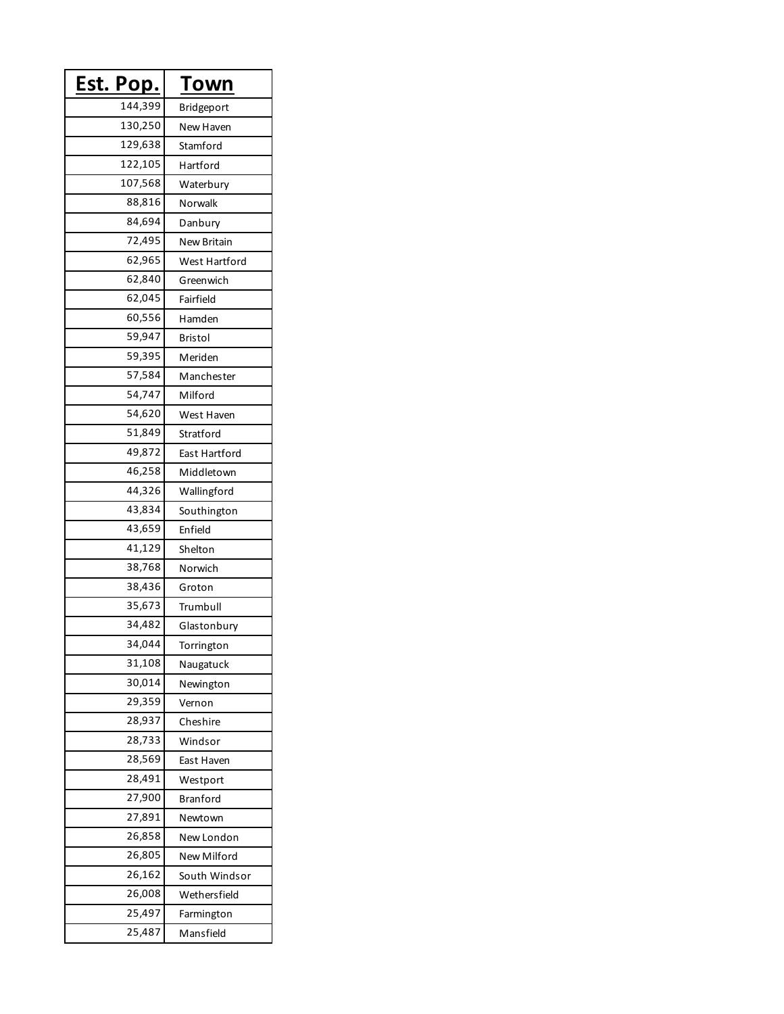| <u>Est. Pop.</u> | Town               |
|------------------|--------------------|
| 144,399          | Bridgeport         |
| 130,250          | New Haven          |
| 129,638          | Stamford           |
| 122,105          | Hartford           |
| 107,568          | Waterbury          |
| 88,816           | Norwalk            |
| 84,694           | Danbury            |
| 72,495           | <b>New Britain</b> |
| 62,965           | West Hartford      |
| 62,840           | Greenwich          |
| 62,045           | Fairfield          |
| 60,556           | Hamden             |
| 59,947           | Bristol            |
| 59,395           | Meriden            |
| 57,584           | Manchester         |
| 54,747           | Milford            |
| 54,620           | West Haven         |
| 51,849           | Stratford          |
| 49,872           | East Hartford      |
| 46,258           | Middletown         |
| 44,326           | Wallingford        |
| 43,834           | Southington        |
| 43,659           | Enfield            |
| 41,129           | Shelton            |
| 38,768           | Norwich            |
| 38,436           | Groton             |
| 35,673           | Trumbull           |
| 34,482           | Glastonbury        |
| 34,044           | Torrington         |
| 31,108           | Naugatuck          |
| 30,014           | Newington          |
| 29,359           | Vernon             |
| 28,937           | Cheshire           |
| 28,733           | Windsor            |
| 28,569           | East Haven         |
| 28,491           | Westport           |
| 27,900           | Branford           |
| 27,891           | Newtown            |
| 26,858           | New London         |
| 26,805           | New Milford        |
| 26,162           | South Windsor      |
| 26,008           | Wethersfield       |
| 25,497           | Farmington         |
| 25,487           | Mansfield          |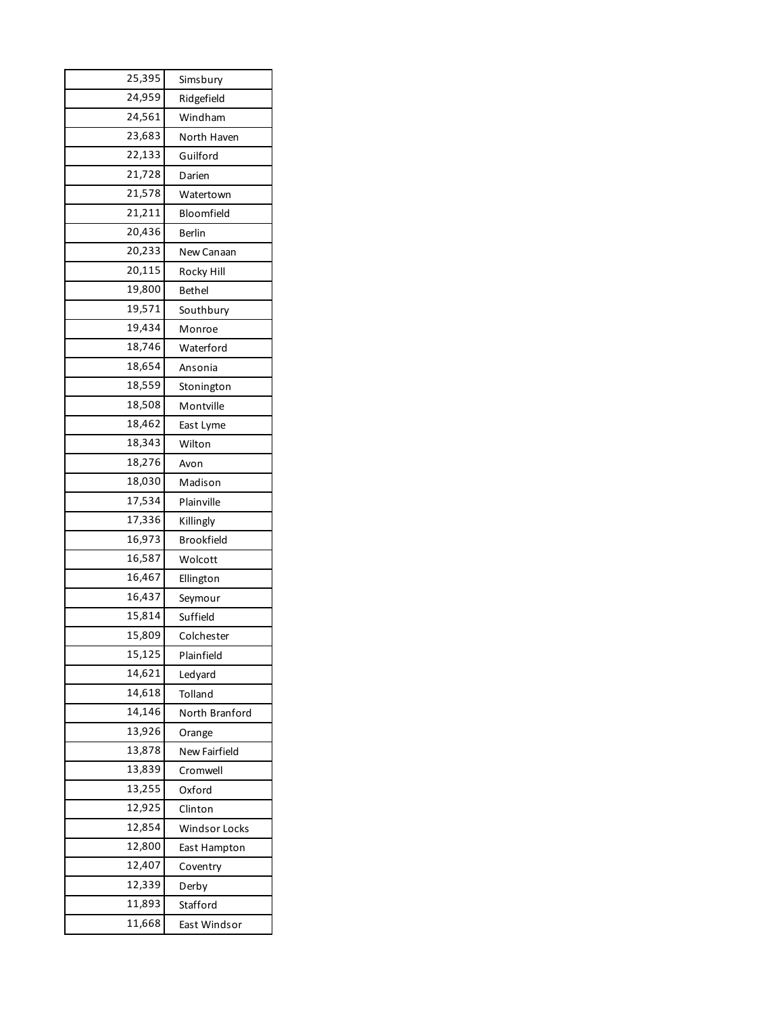| 25,395 | Simsbury             |
|--------|----------------------|
| 24,959 | Ridgefield           |
| 24,561 | Windham              |
| 23,683 | North Haven          |
| 22,133 | Guilford             |
| 21,728 | Darien               |
| 21,578 | Watertown            |
| 21,211 | Bloomfield           |
| 20,436 | Berlin               |
| 20,233 | New Canaan           |
| 20,115 | Rocky Hill           |
| 19,800 | Bethel               |
| 19,571 | Southbury            |
| 19,434 | Monroe               |
| 18,746 | Waterford            |
| 18,654 | Ansonia              |
| 18,559 | Stonington           |
| 18,508 | Montville            |
| 18,462 | East Lyme            |
| 18,343 | Wilton               |
| 18,276 | Avon                 |
| 18,030 | Madison              |
| 17,534 | Plainville           |
| 17,336 | Killingly            |
| 16,973 | <b>Brookfield</b>    |
| 16,587 | Wolcott              |
| 16,467 | Ellington            |
| 16,437 | Seymour              |
| 15,814 | Suffield             |
| 15,809 | Colchester           |
| 15,125 | Plainfield           |
| 14,621 | Ledyard              |
| 14,618 | Tolland              |
| 14,146 | North Branford       |
| 13,926 | Orange               |
| 13,878 | New Fairfield        |
| 13,839 | Cromwell             |
| 13,255 | Oxford               |
| 12,925 | Clinton              |
| 12,854 | <b>Windsor Locks</b> |
| 12,800 | East Hampton         |
| 12,407 | Coventry             |
| 12,339 | Derby                |
| 11,893 | Stafford             |
| 11,668 | East Windsor         |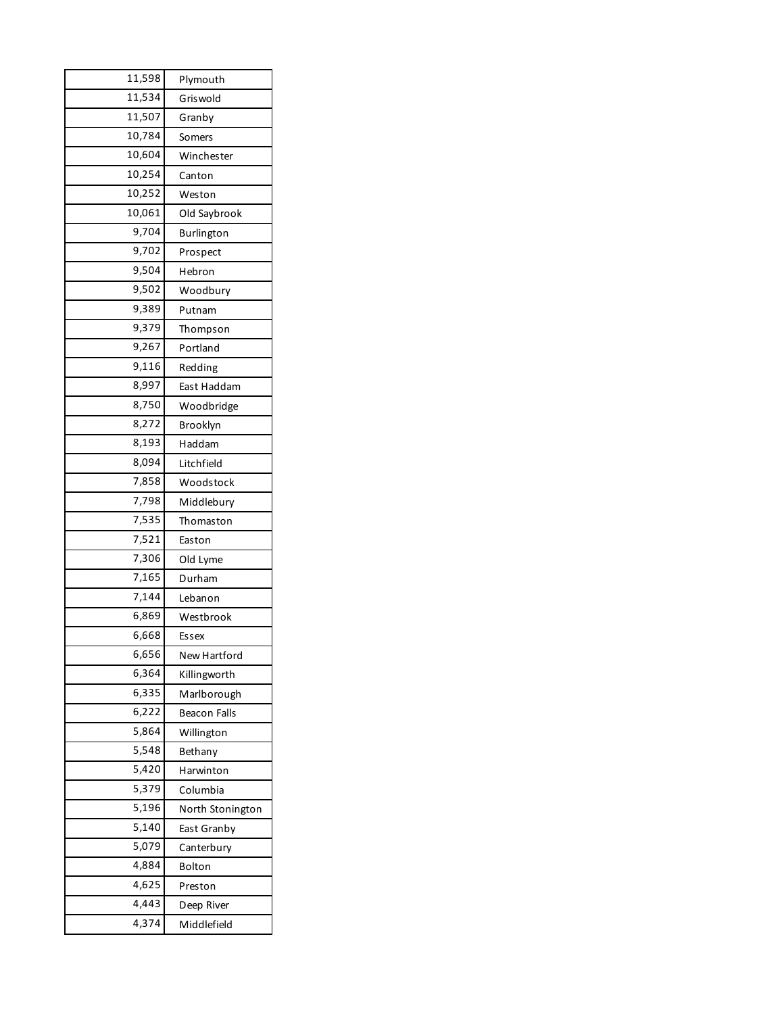| 11,598 | Plymouth            |
|--------|---------------------|
| 11,534 | Griswold            |
| 11,507 | Granby              |
| 10,784 | Somers              |
| 10,604 | Winchester          |
| 10,254 | Canton              |
| 10,252 | Weston              |
| 10,061 | Old Saybrook        |
| 9,704  | <b>Burlington</b>   |
| 9,702  | Prospect            |
| 9,504  | Hebron              |
| 9,502  | Woodbury            |
| 9,389  | Putnam              |
| 9,379  | Thompson            |
| 9,267  | Portland            |
| 9,116  | Redding             |
| 8,997  | East Haddam         |
| 8,750  | Woodbridge          |
| 8,272  | Brooklyn            |
| 8,193  | Haddam              |
| 8,094  | Litchfield          |
| 7,858  | Woodstock           |
| 7,798  | Middlebury          |
| 7,535  | Thomaston           |
| 7,521  | Easton              |
| 7,306  | Old Lyme            |
| 7,165  | Durham              |
| 7,144  | Lebanon             |
| 6,869  | Westbrook           |
| 6,668  | Essex               |
| 6,656  | New Hartford        |
| 6,364  | Killingworth        |
| 6,335  | Marlborough         |
| 6,222  | <b>Beacon Falls</b> |
| 5,864  | Willington          |
| 5,548  | Bethany             |
| 5,420  | Harwinton           |
| 5,379  | Columbia            |
| 5,196  | North Stonington    |
| 5,140  | East Granby         |
| 5,079  | Canterbury          |
| 4,884  | Bolton              |
| 4,625  | Preston             |
| 4,443  | Deep River          |
| 4,374  | Middlefield         |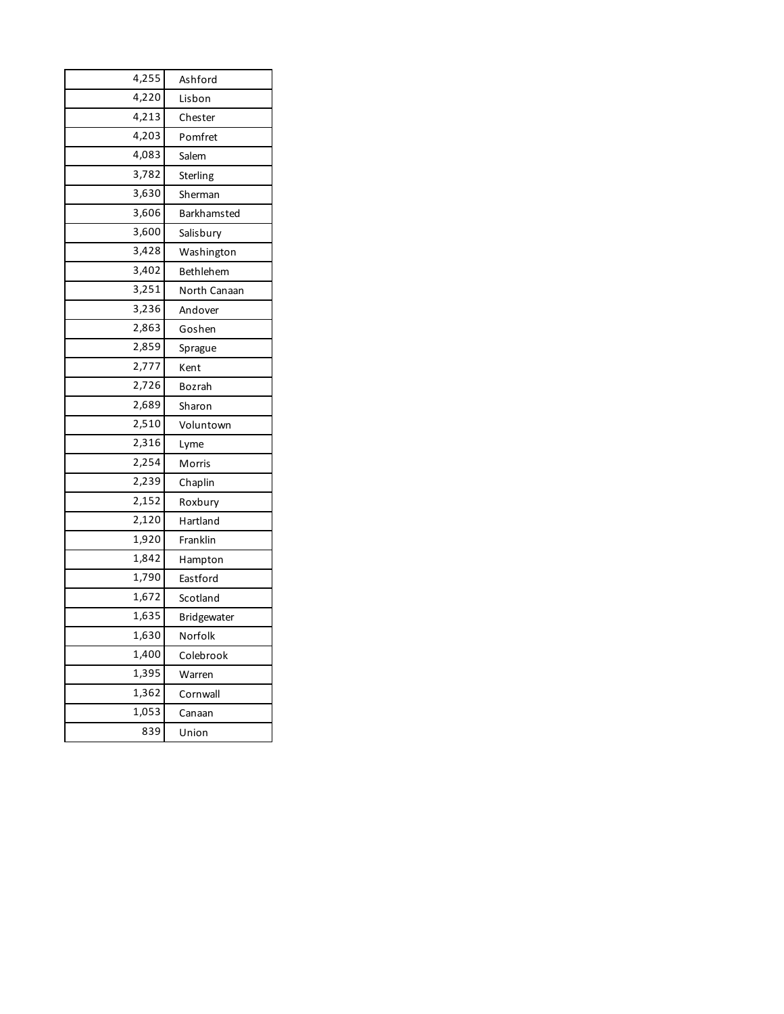| 4,255 | Ashford      |
|-------|--------------|
| 4,220 | Lisbon       |
| 4,213 | Chester      |
| 4,203 | Pomfret      |
| 4,083 | Salem        |
| 3,782 | Sterling     |
| 3,630 | Sherman      |
| 3,606 | Barkhamsted  |
| 3,600 | Salisbury    |
| 3,428 | Washington   |
| 3,402 | Bethlehem    |
| 3,251 | North Canaan |
| 3,236 | Andover      |
| 2,863 | Goshen       |
| 2,859 | Sprague      |
| 2,777 | Kent         |
| 2,726 | Bozrah       |
| 2,689 | Sharon       |
| 2,510 | Voluntown    |
| 2,316 | Lyme         |
| 2,254 | Morris       |
| 2,239 | Chaplin      |
| 2,152 | Roxbury      |
| 2,120 | Hartland     |
| 1,920 | Franklin     |
| 1,842 | Hampton      |
| 1,790 | Eastford     |
| 1,672 | Scotland     |
| 1,635 | Bridgewater  |
| 1,630 | Norfolk      |
| 1,400 | Colebrook    |
| 1,395 | Warren       |
| 1,362 | Cornwall     |
| 1,053 | Canaan       |
| 839   | Union        |